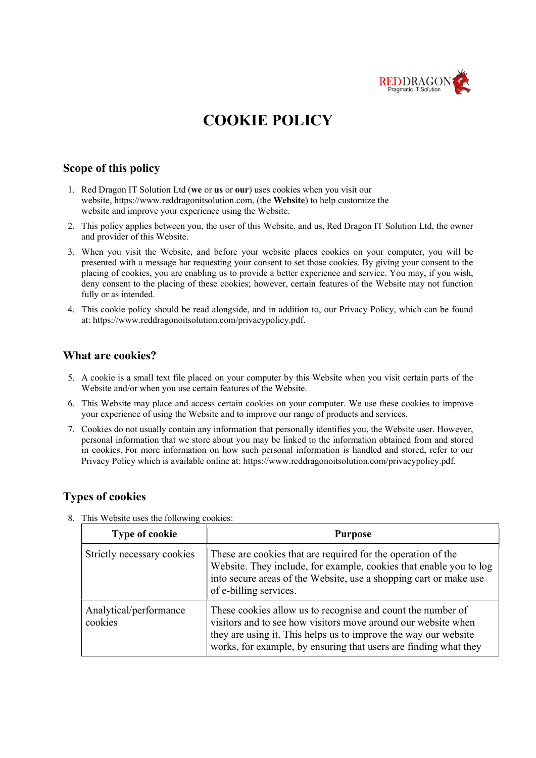

# COOKIE POLICY

### Scope of this policy

- 1. Red Dragon IT Solution Ltd (we or us or our) uses cookies when you visit our website, https://www.reddragonitsolution.com, (the Website) to help customize the website and improve your experience using the Website.
- 2. This policy applies between you, the user of this Website, and us, Red Dragon IT Solution Ltd, the owner and provider of this Website.
- 3. When you visit the Website, and before your website places cookies on your computer, you will be presented with a message bar requesting your consent to set those cookies. By giving your consent to the placing of cookies, you are enabling us to provide a better experience and service. You may, if you wish, deny consent to the placing of these cookies; however, certain features of the Website may not function fully or as intended.
- 4. This cookie policy should be read alongside, and in addition to, our Privacy Policy, which can be found at: https://www.reddragonoitsolution.com/privacypolicy.pdf.

### What are cookies?

- 5. A cookie is a small text file placed on your computer by this Website when you visit certain parts of the Website and/or when you use certain features of the Website.
- 6. This Website may place and access certain cookies on your computer. We use these cookies to improve your experience of using the Website and to improve our range of products and services.
- 7. Cookies do not usually contain any information that personally identifies you, the Website user. However, personal information that we store about you may be linked to the information obtained from and stored in cookies. For more information on how such personal information is handled and stored, refer to our Privacy Policy which is available online at: https://www.reddragonoitsolution.com/privacypolicy.pdf.

### Types of cookies

| <b>Type of cookie</b>             | <b>Purpose</b>                                                                                                                                                                                                                                                      |
|-----------------------------------|---------------------------------------------------------------------------------------------------------------------------------------------------------------------------------------------------------------------------------------------------------------------|
| Strictly necessary cookies        | These are cookies that are required for the operation of the<br>Website. They include, for example, cookies that enable you to log<br>into secure areas of the Website, use a shopping cart or make use<br>of e-billing services.                                   |
| Analytical/performance<br>cookies | These cookies allow us to recognise and count the number of<br>visitors and to see how visitors move around our website when<br>they are using it. This helps us to improve the way our website<br>works, for example, by ensuring that users are finding what they |

8. This Website uses the following cookies: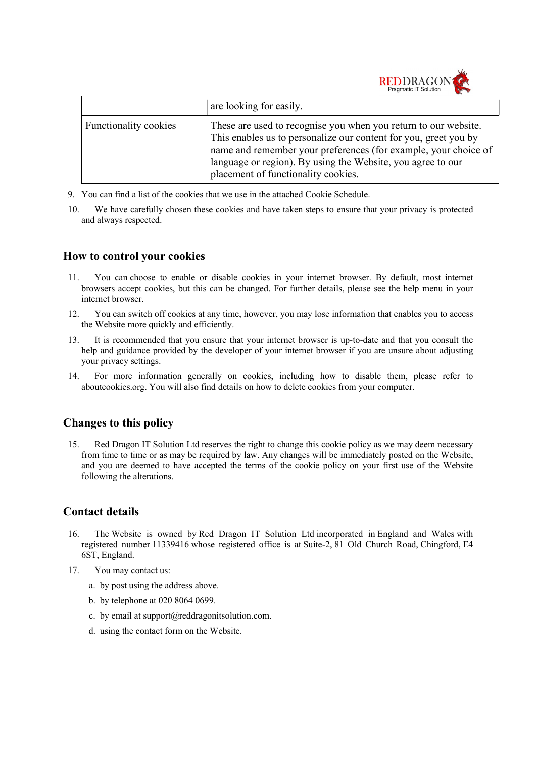|                       | Pragmatic II Solution<br>$\ge$                                                                                                                                                                                                                                                                               |
|-----------------------|--------------------------------------------------------------------------------------------------------------------------------------------------------------------------------------------------------------------------------------------------------------------------------------------------------------|
|                       | are looking for easily.                                                                                                                                                                                                                                                                                      |
| Functionality cookies | These are used to recognise you when you return to our website.<br>This enables us to personalize our content for you, greet you by<br>name and remember your preferences (for example, your choice of<br>language or region). By using the Website, you agree to our<br>placement of functionality cookies. |

REDDRAGON

- 9. You can find a list of the cookies that we use in the attached Cookie Schedule.
- 10. We have carefully chosen these cookies and have taken steps to ensure that your privacy is protected and always respected.

### How to control your cookies

- 11. You can choose to enable or disable cookies in your internet browser. By default, most internet browsers accept cookies, but this can be changed. For further details, please see the help menu in your internet browser.
- 12. You can switch off cookies at any time, however, you may lose information that enables you to access the Website more quickly and efficiently.
- 13. It is recommended that you ensure that your internet browser is up-to-date and that you consult the help and guidance provided by the developer of your internet browser if you are unsure about adjusting your privacy settings.
- 14. For more information generally on cookies, including how to disable them, please refer to aboutcookies.org. You will also find details on how to delete cookies from your computer.

# Changes to this policy

15. Red Dragon IT Solution Ltd reserves the right to change this cookie policy as we may deem necessary from time to time or as may be required by law. Any changes will be immediately posted on the Website, and you are deemed to have accepted the terms of the cookie policy on your first use of the Website following the alterations.

# Contact details

- 16. The Website is owned by Red Dragon IT Solution Ltd incorporated in England and Wales with registered number 11339416 whose registered office is at Suite-2, 81 Old Church Road, Chingford, E4 6ST, England.
- 17. You may contact us:
	- a. by post using the address above.
	- b. by telephone at 020 8064 0699.
	- c. by email at support $(a)$ reddragonitsolution.com.
	- d. using the contact form on the Website.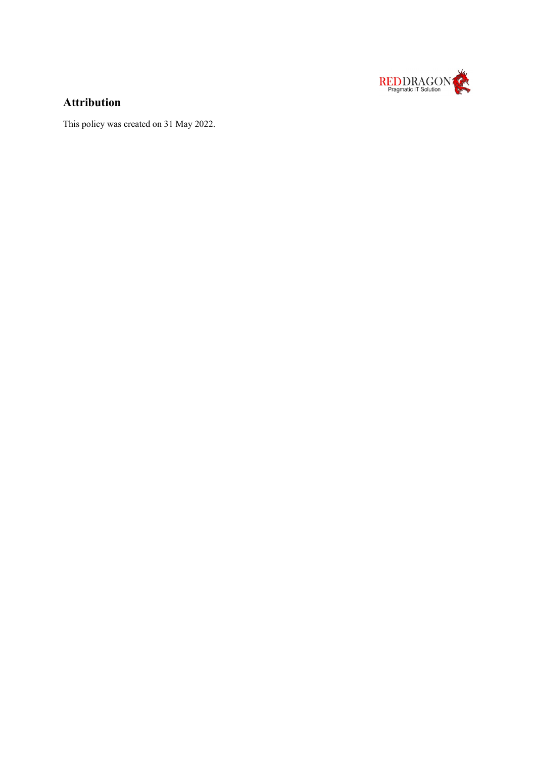

# Attribution

This policy was created on 31 May 2022.